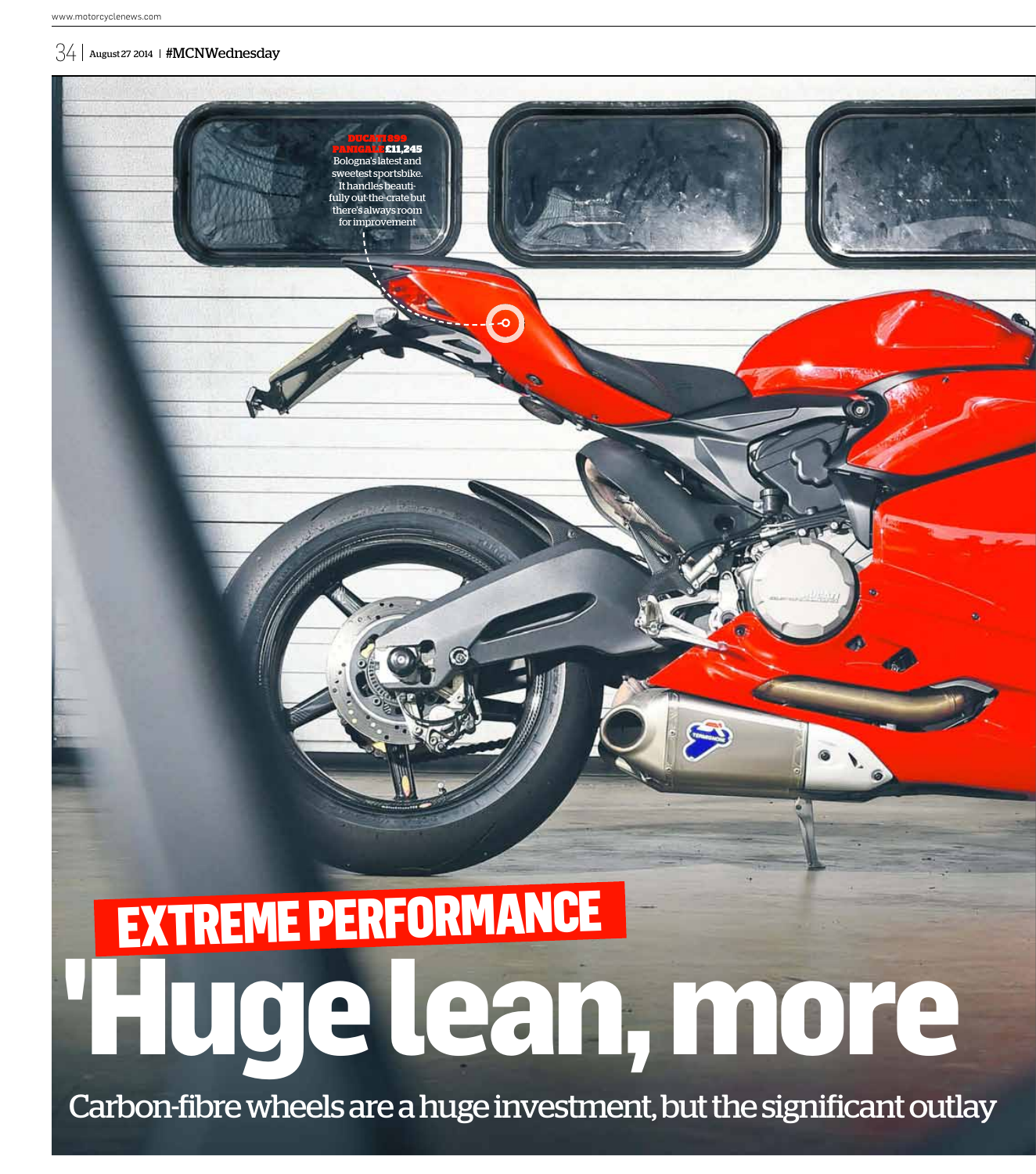### $34$  August 27 2014 | #MCNWednesday

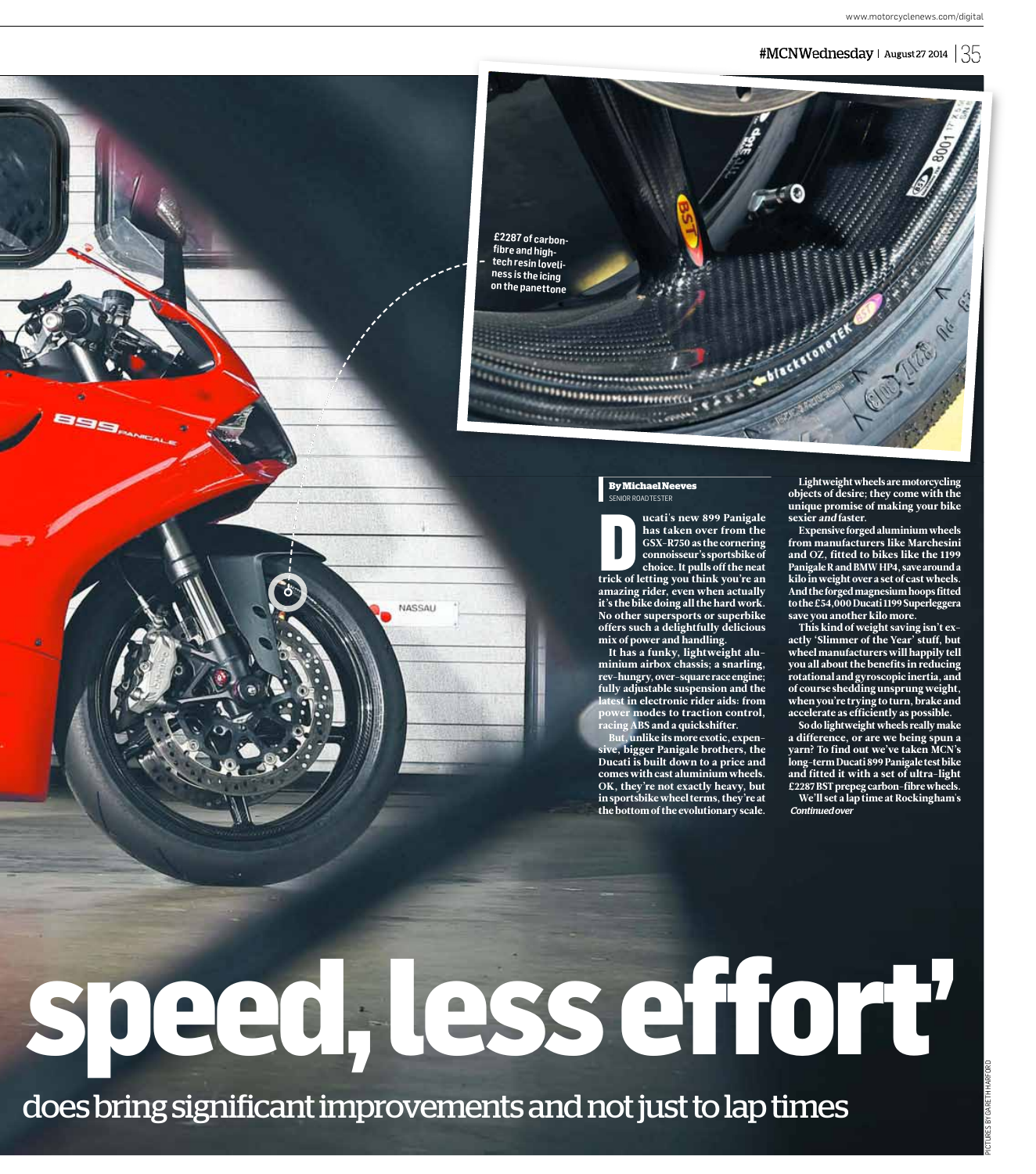www.motorcyclenews.com/digital





**tech resin loveliness is the icing on the panettone**

# 1988888888888888888888  $\frac{1}{\sqrt{2}}\frac{1}{\sqrt{2}}\frac{1}{\sqrt{2}}\frac{1}{\sqrt{2}}\frac{1}{\sqrt{2}}\frac{1}{\sqrt{2}}\frac{1}{\sqrt{2}}\frac{1}{\sqrt{2}}\frac{1}{\sqrt{2}}\frac{1}{\sqrt{2}}\frac{1}{\sqrt{2}}\frac{1}{\sqrt{2}}\frac{1}{\sqrt{2}}\frac{1}{\sqrt{2}}\frac{1}{\sqrt{2}}\frac{1}{\sqrt{2}}\frac{1}{\sqrt{2}}\frac{1}{\sqrt{2}}\frac{1}{\sqrt{2}}\frac{1}{\sqrt{2}}\frac{1}{\sqrt{2}}\frac{1}{\sqrt{2}}$

#### **By Michael Neeves** -<br>NIOR ROAD TESTER

SENIOR R ucati's new 899 Panigale has taken over from the GSX-R750 as the cornering connoisseur's sportsbike of choice. It pulls off the neat trick of letting you think you're an amazing rider, even when actually it's the bike doing all the hard work. No other supersports or superbike offers such a delightfully delicious mix of power and handling.

It has a funky, lightweight aluminium airbox chassis; a snarling, rev-hungry, over-square race engine; fully adjustable suspension and the  $\overline{\text{st}}$  in electronic rider aids: from **promodes to traction control,**  $\overline{\text{rgs}}$  ABS and a quickshifter.

, unlike its more exotic, expensive, bigger Panigale brothers, the Ducati is built down to a price and comes with cast aluminium wheels. OK, they're not exactly heavy, but in sportsbike wheel terms, they're at the bottom of the evolutionary scale.

Lightweight wheels are motorcycling objects of desire; they come with the unique promise of making your bike sexier and faster.

Blackstone Text

Expensive forged aluminium wheels from manufacturers like Marchesini and OZ, fitted to bikes like the 1199 Panigale R and BMW HP4, save around a kilo in weight over a set of cast wheels. And the forged magnesium hoops fitted to the £54,000 Ducati 1199 Superleggera save you another kilo more.

This kind of weight saving isn't exactly 'Slimmer of the Year' stuff, but wheel manufacturers will happily tell you all about the benefits in reducing rotational and gyroscopic inertia, and of course shedding unsprung weight, when you're trying to turn, brake and accelerate as efficiently as possible.

So do lightweight wheels really make a difference, or are we being spun a yarn? To find out we've taken MCN's long-term Ducati 899 Panigale test bike and fitted it with a set of ultra-light £2287 BST prepeg carbon-fibre wheels. We'll set a lap time at Rockingham's *Continued over*

# **speed, less effort'**

does bring significant improvements and not just to lap times

**NASSAL**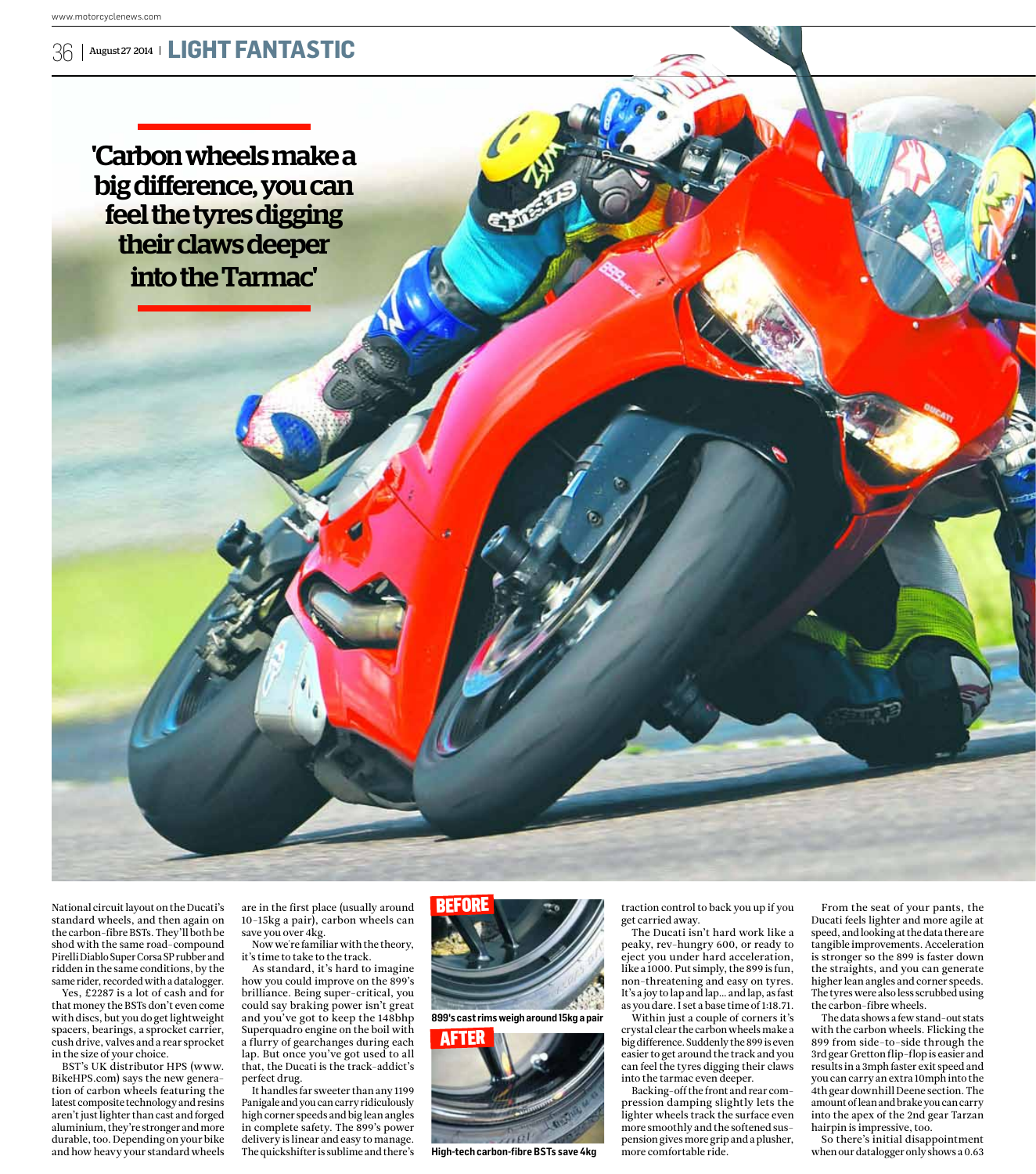

'Carbon wheels make a big difference, you can feel the tyres digging their claws deeper into the Tarmac'

National circuit layout on the Ducati's standard wheels, and then again on the carbon-fibre BSTs. They'll both be shod with the same road-compound Pirelli Diablo Super Corsa SP rubber and ridden in the same conditions, by the same rider, recorded with a datalogger.

Yes, £2287 is a lot of cash and for that money the BSTs don't even come with discs, but you do get lightweight spacers, bearings, a sprocket carrier, cush drive, valves and a rear sprocket in the size of your choice.

BST's UK distributor HPS (www. BikeHPS.com) says the new generation of carbon wheels featuring the latest composite technology and resins aren't just lighter than cast and forged aluminium, they're stronger and more durable, too. Depending on your bike and how heavy your standard wheels

are in the first place (usually around 10-15kg a pair), carbon wheels can save you over 4 kg.

Now we're familiar with the theory, it's time to take to the track.

As standard, it's hard to imagine how you could improve on the 899's brilliance. Being super-critical, you could say braking power isn't great and you've got to keep the 148bhp Superquadro engine on the boil with a flurry of gearchanges during each lap. But once you've got used to all that, the Ducati is the track-addict's perfect drug.

It handles far sweeter than any 1199 Panigale and you can carry ridiculously high corner speeds and big lean angles in complete safety. The 899's power delivery is linear and easy to manage. The quickshifter is sublime and there's



**899's cast rims weigh around 15kg a pair** 



**High-tech carbon-fibre BSTs save 4kg**

traction control to back you up if you get carried away.

The Ducati isn't hard work like a peaky, rev-hungry 600, or ready to eject you under hard acceleration, like a 1000. Put simply, the 899 is fun, non-threatening and easy on tyres. It's a joy to lap and lap… and lap, as fast as you dare. I set a base time of 1:18.71.

Within just a couple of corners it's crystal clear the carbon wheels make a big difference. Suddenly the 899 is even easier to get around the track and you can feel the tyres digging their claws into the tarmac even deeper.

Backing-off the front and rear compression damping slightly lets the lighter wheels track the surface even more smoothly and the softened suspension gives more grip and a plusher, more comfortable ride.

From the seat of your pants, the Ducati feels lighter and more agile at speed, and looking at the data there are tangible improvements. Acceleration is stronger so the 899 is faster down the straights, and you can generate higher lean angles and corner speeds. The tyres were also less scrubbed using the carbon-fibre wheels.

The data shows a few stand-out stats with the carbon wheels. Flicking the 899 from side-to-side through the 3rd gear Gretton flip-flop is easier and results in a 3mph faster exit speed and you can carry an extra 10mph into the 4th gear downhill Deene section. The amount of lean and brake you can carry into the apex of the 2nd gear Tarzan hairpin is impressive, too.

So there's initial disappointment when our datalogger only shows a 0.63